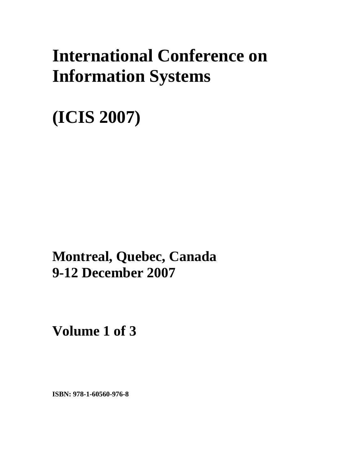# **International Conference on Information Systems**

**(ICIS 2007)** 

**Montreal, Quebec, Canada 9-12 December 2007**

**Volume 1 of 3** 

**ISBN: 978-1-60560-976-8**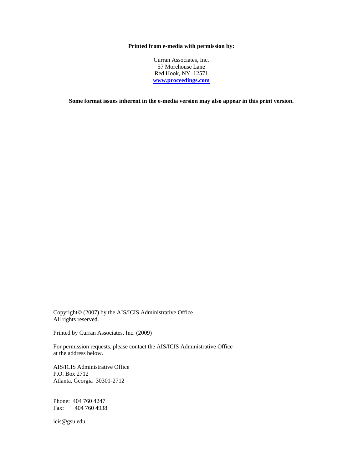#### **Printed from e-media with permission by:**

Curran Associates, Inc. 57 Morehouse Lane Red Hook, NY 12571 **[www.proceedings.com](http://www.proceedings.com/)**

**Some format issues inherent in the e-media version may also appear in this print version.** 

Copyright© (2007) by the AIS/ICIS Administrative Office All rights reserved.

Printed by Curran Associates, Inc. (2009)

For permission requests, please contact the AIS/ICIS Administrative Office at the address below.

AIS/ICIS Administrative Office P.O. Box 2712 Atlanta, Georgia 30301-2712

Phone: 404 760 4247 Fax: 404 760 4938

icis@gsu.edu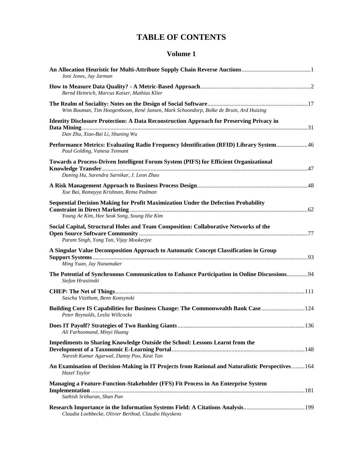## **TABLE OF CONTENTS**

#### **Volume 1**

| Joni Jones, Jay Jarman                                                                                                              |  |
|-------------------------------------------------------------------------------------------------------------------------------------|--|
| Bernd Heinrich, Marcus Kaiser, Mathias Klier                                                                                        |  |
| Wim Bouman, Tim Hoogenboom, René Jansen, Mark Schoondorp, Bolke de Bruin, Ard Huizing                                               |  |
| <b>Identity Disclosure Protection: A Data Reconstruction Approach for Preserving Privacy in</b><br>Dan Zhu, Xiao-Bai Li, Shuning Wu |  |
| Performance Metrics: Evaluating Radio Frequency Identification (RFID) Library System46<br>Paul Golding, Vanesa Tennant              |  |
| <b>Towards a Process-Driven Intelligent Forum System (PIFS) for Efficient Organizational</b>                                        |  |
| Daning Hu, Surendra Sarnikar, J. Leon Zhao                                                                                          |  |
| Xue Bai, Ramayya Krishnan, Rema Padman                                                                                              |  |
| Sequential Decision Making for Profit Maximization Under the Defection Probability                                                  |  |
| Young Ae Kim, Hee Seok Song, Soung Hie Kim                                                                                          |  |
| Social Capital, Structural Holes and Team Composition: Collaborative Networks of the<br>Param Singh, Yong Tan, Vijay Mookerjee      |  |
| A Singular Value Decomposition Approach to Automatic Concept Classification in Group<br>Ming Yuan, Jay Nunamaker                    |  |
| The Potential of Synchronous Communication to Enhance Participation in Online Discussions94<br>Stefan Hrastinski                    |  |
| Sascha Vitzthum, Benn Konsynski                                                                                                     |  |
| Building Core IS Capabilities for Business Change: The Commonwealth Bank Case 124<br>Peter Reynolds, Leslie Willcocks               |  |
| Ali Farhoomand, Minyi Huang                                                                                                         |  |
| <b>Impediments to Sharing Knowledge Outside the School: Lessons Learnt from the</b><br>Naresh Kumar Agarwal, Danny Poo, Keat Tan    |  |
| An Examination of Decision-Making in IT Projects from Rational and Naturalistic Perspectives 164<br>Hazel Taylor                    |  |
| Managing a Feature-Function-Stakeholder (FFS) Fit Process in An Enterprise System<br>Sathish Sritharan, Shan Pan                    |  |
| Claudia Loebbecke, Olivier Berthod, Claudio Huyskens                                                                                |  |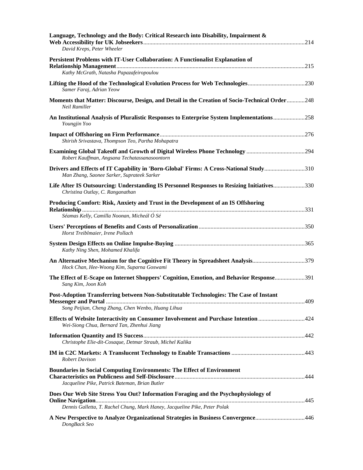| Language, Technology and the Body: Critical Research into Disability, Impairment &<br>David Kreps, Peter Wheeler                                                 |  |
|------------------------------------------------------------------------------------------------------------------------------------------------------------------|--|
| Persistent Problems with IT-User Collaboration: A Functionalist Explanation of                                                                                   |  |
| Kathy McGrath, Natasha Papazafeiropoulou                                                                                                                         |  |
| Lifting the Hood of the Technological Evolution Process for Web Technologies230<br>Samer Faraj, Adrian Yeow                                                      |  |
| <b>Moments that Matter: Discourse, Design, and Detail in the Creation of Socio-Technical Order248</b><br>Neil Ramiller                                           |  |
| An Institutional Analysis of Pluralistic Responses to Enterprise System Implementations258<br>Youngjin Yoo                                                       |  |
| Shirish Srivastava, Thompson Teo, Partha Mohapatra                                                                                                               |  |
| Robert Kauffman, Angsana Techatassanasoontorn                                                                                                                    |  |
| Drivers and Effects of IT Capability in 'Born-Global' Firms: A Cross-National Study310<br>Man Zhang, Saonee Sarker, Suprateek Sarker                             |  |
| Life After IS Outsourcing: Understanding IS Personnel Responses to Resizing Initiatives330<br>Christina Outlay, C. Ranganathan                                   |  |
| Producing Comfort: Risk, Anxiety and Trust in the Development of an IS Offshoring                                                                                |  |
| Séamas Kelly, Camilla Noonan, Micheál Ó Sé                                                                                                                       |  |
| Horst Treiblmaier, Irene Pollach                                                                                                                                 |  |
| Kathy Ning Shen, Mohamed Khalifa                                                                                                                                 |  |
| An Alternative Mechanism for the Cognitive Fit Theory in Spreadsheet Analysis379<br>Hock Chan, Hee-Woong Kim, Suparna Goswami                                    |  |
| The Effect of E-Scape on Internet Shoppers' Cognition, Emotion, and Behavior Response391<br>Sang Kim, Joon Koh                                                   |  |
| Post-Adoption Transferring between Non-Substitutable Technologies: The Case of Instant<br>Song Peijian, Cheng Zhang, Chen Wenbo, Huang Lihua                     |  |
| Effects of Website Interactivity on Consumer Involvement and Purchase Intention 424<br>Wei-Siong Chua, Bernard Tan, Zhenhui Jiang                                |  |
| Christophe Elie-dit-Cosaque, Detmar Straub, Michel Kalika                                                                                                        |  |
| <b>Robert Davison</b>                                                                                                                                            |  |
| <b>Boundaries in Social Computing Environments: The Effect of Environment</b><br>Jacqueline Pike, Patrick Bateman, Brian Butler                                  |  |
| Does Our Web Site Stress You Out? Information Foraging and the Psychophysiology of<br>Dennis Galletta, T. Rachel Chung, Mark Haney, Jacqueline Pike, Peter Polak |  |
| A New Perspective to Analyze Organizational Strategies in Business Convergence446<br>DongBack Seo                                                                |  |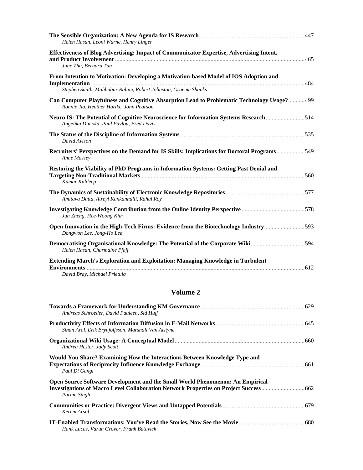| Helen Hasan, Leoni Warne, Henry Linger                                                                                                                 |  |
|--------------------------------------------------------------------------------------------------------------------------------------------------------|--|
| Effectiveness of Blog Advertising: Impact of Communicator Expertise, Advertising Intent,<br>June Zhu, Bernard Tan                                      |  |
| From Intention to Motivation: Developing a Motivation-based Model of IOS Adoption and<br>Stephen Smith, Mahbubur Rahim, Robert Johnston, Graeme Shanks |  |
| Can Computer Playfulness and Cognitive Absorption Lead to Problematic Technology Usage?499<br>Ronnie Jia, Heather Hartke, John Pearson                 |  |
| Neuro IS: The Potential of Cognitive Neuroscience for Information Systems Research514<br>Angelika Dimoka, Paul Pavlou, Fred Davis                      |  |
| David Avison                                                                                                                                           |  |
| Recruiters' Perspectives on the Demand for IS Skills: Implications for Doctoral Programs549<br>Anne Massey                                             |  |
| Restoring the Viability of PhD Programs in Information Systems: Getting Past Denial and<br>Kumar Kuldeep                                               |  |
| Amitava Dutta, Atreyi Kankanhalli, Rahul Roy                                                                                                           |  |
| Jun Zheng, Hee-Woong Kim                                                                                                                               |  |
| Open Innovation in the High-Tech Firms: Evidence from the Biotechnology Industry593<br>Dongwon Lee, Jong-Ho Lee                                        |  |
| Democratising Organisational Knowledge: The Potential of the Corporate Wiki594<br>Helen Hasan, Charmaine Pfaff                                         |  |
| <b>Extending March's Exploration and Exploitation: Managing Knowledge in Turbulent</b><br>David Bray, Michael Prietula                                 |  |

## **Volume 2**

| Andreas Schroeder, David Pauleen, Sid Huff                                                   |  |
|----------------------------------------------------------------------------------------------|--|
| Sinan Aral, Erik Brynjolfsson, Marshall Van Alstyne                                          |  |
| Andrea Hester, Judy Scott                                                                    |  |
| Would You Share? Examining How the Interactions Between Knowledge Type and<br>Paul Di Gangi  |  |
| Open Source Software Development and the Small World Phenomenon: An Empirical<br>Param Singh |  |
| Kerem Arsal                                                                                  |  |
| Hank Lucas, Varun Grover, Frank Batavick                                                     |  |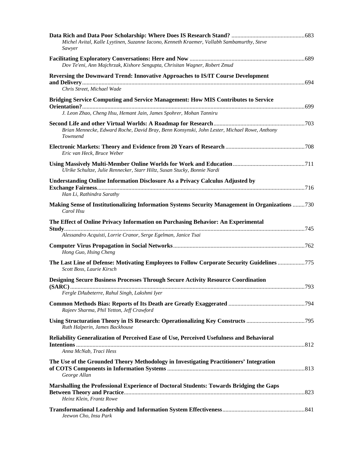| Michel Avital, Kalle Lyytinen, Suzanne Iacono, Kenneth Kraemer, Vallabh Sambamurthy, Steve<br>Sawyer                                                           |  |
|----------------------------------------------------------------------------------------------------------------------------------------------------------------|--|
| Dov Te'eni, Ann Majchrzak, Kishore Sengupta, Chrisitan Wagner, Robert Zmud                                                                                     |  |
| Reversing the Downward Trend: Innovative Approaches to IS/IT Course Development<br>Chris Street, Michael Wade                                                  |  |
| <b>Bridging Service Computing and Service Management: How MIS Contributes to Service</b><br>J. Leon Zhao, Cheng Hsu, Hemant Jain, James Spohrer, Mohan Tanniru |  |
| Brian Mennecke, Edward Roche, David Bray, Benn Konsynski, John Lester, Michael Rowe, Anthony<br>Townsend                                                       |  |
| Eric van Heck, Bruce Weber                                                                                                                                     |  |
| Ulrike Schultze, Julie Rennecker, Starr Hiltz, Susan Stucky, Bonnie Nardi                                                                                      |  |
| Understanding Online Information Disclosure As a Privacy Calculus Adjusted by<br>Han Li, Rathindra Sarathy                                                     |  |
| Making Sense of Institutionalizing Information Systems Security Management in Organizations 730<br>Carol Hsu                                                   |  |
| The Effect of Online Privacy Information on Purchasing Behavior: An Experimental<br>Alessandro Acquisti, Lorrie Cranor, Serge Egelman, Janice Tsai             |  |
| Hong Guo, Hsing Cheng                                                                                                                                          |  |
| The Last Line of Defense: Motivating Employees to Follow Corporate Security Guidelines 775<br>Scott Boss, Laurie Kirsch                                        |  |
| <b>Designing Secure Business Processes Through Secure Activity Resource Coordination</b><br>Fergle DAubeterre, Rahul Singh, Lakshmi Iyer                       |  |
| Rajeev Sharma, Phil Yetton, Jeff Crawford                                                                                                                      |  |
| Using Structuration Theory in IS Research: Operationalizing Key Constructs 795<br>Ruth Halperin, James Backhouse                                               |  |
| Reliability Generalization of Perceived Ease of Use, Perceived Usefulness and Behavioral<br>Anna McNab. Traci Hess                                             |  |
| The Use of the Grounded Theory Methodology in Investigating Practitioners' Integration<br>George Allan                                                         |  |
| Marshalling the Professional Experience of Doctoral Students: Towards Bridging the Gaps<br>Heinz Klein, Frantz Rowe                                            |  |
| Jeewon Cho, Insu Park                                                                                                                                          |  |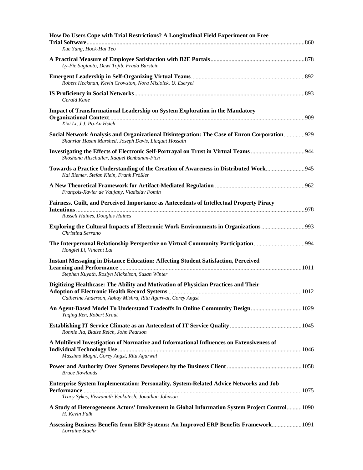| How Do Users Cope with Trial Restrictions? A Longitudinal Field Experiment on Free                                                                   |
|------------------------------------------------------------------------------------------------------------------------------------------------------|
| Xue Yang, Hock-Hai Teo                                                                                                                               |
| Ly-Fie Sugianto, Dewi Tojib, Frada Burstein                                                                                                          |
| Robert Heckman, Kevin Crowston, Nora Misiolek, U. Eseryel                                                                                            |
| Gerald Kane                                                                                                                                          |
| <b>Impact of Transformational Leadership on System Exploration in the Mandatory</b><br>Xixi Li, J.J. Po-An Hsieh                                     |
| Social Network Analysis and Organizational Disintegration: The Case of Enron Corporation929<br>Shahriar Hasan Murshed, Joseph Davis, Liaquat Hossain |
| Shoshana Altschuller, Raquel Benbunan-Fich                                                                                                           |
| Towards a Practice Understanding of the Creation of Awareness in Distributed Work945<br>Kai Riemer, Stefan Klein, Frank Frößler                      |
| François-Xavier de Vaujany, Vladislav Fomin                                                                                                          |
| Fairness, Guilt, and Perceived Importance as Antecedents of Intellectual Property Piracy<br>Russell Haines, Douglas Haines                           |
| <b>Exploring the Cultural Impacts of Electronic Work Environments in Organizations </b> 993<br>Christina Serrano                                     |
| Honglei Li, Vincent Lai                                                                                                                              |
| Instant Messaging in Distance Education: Affecting Student Satisfaction, Perceived<br>Stephen Kuyath, Roslyn Mickelson, Susan Winter                 |
| Digitizing Healthcase: The Ability and Motivation of Physician Practices and Their<br>Catherine Anderson, Abhay Mishra, Ritu Agarwal, Corey Angst    |
| Yuging Ren, Robert Kraut                                                                                                                             |
| Ronnie Jia, Blaize Reich, John Pearson                                                                                                               |
| A Multilevel Investigation of Normative and Informational Influences on Extensiveness of<br>Massimo Magni, Corey Angst, Ritu Agarwal                 |
| Bruce Rowlands                                                                                                                                       |
| Enterprise System Implementation: Personality, System-Related Advice Networks and Job<br>Tracy Sykes, Viswanath Venkatesh, Jonathan Johnson          |
| A Study of Heterogeneous Actors' Involvement in Global Information System Project Control 1090<br>H. Kevin Fulk                                      |
| Assessing Business Benefits from ERP Systems: An Improved ERP Benefits Framework 1091<br>Lorraine Staehr                                             |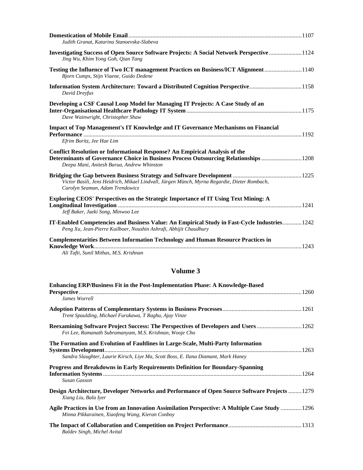| Judith Granat, Katarina Stanoevska-Slabeva                                                                                                                                                                               |  |
|--------------------------------------------------------------------------------------------------------------------------------------------------------------------------------------------------------------------------|--|
| Investigating Success of Open Source Software Projects: A Social Network Perspective1124<br>Jing Wu, Khim Yong Goh, Qian Tang                                                                                            |  |
| Testing the Influence of Two ICT management Practices on Business/ICT Alignment1140<br>Bjorn Cumps, Stijn Viaene, Guido Dedene                                                                                           |  |
| Information System Architecture: Toward a Distributed Cognition Perspective1158<br>David Dreyfus                                                                                                                         |  |
| Developing a CSF Causal Loop Model for Managing IT Projects: A Case Study of an<br>Dave Wainwright, Christopher Shaw                                                                                                     |  |
| <b>Impact of Top Management's IT Knowledge and IT Governance Mechanisms on Financial</b><br>Efrim Boritz, Jee Hae Lim                                                                                                    |  |
| <b>Conflict Resolution or Informational Response? An Empirical Analysis of the</b><br>Determinants of Governance Choice in Business Process Outsourcing Relationships 1208<br>Deepa Mani, Anitesh Barua, Andrew Whinston |  |
| Victor Basili, Jens Heidrich, Mikael Lindvall, Jürgen Münch, Myrna Regardie, Dieter Rombach,<br>Carolyn Seaman, Adam Trendowicz                                                                                          |  |
| Exploring CEOS' Perspectives on the Strategic Importance of IT Using Text Mining: A<br>Jeff Baker, Jaeki Song, Minwoo Lee                                                                                                |  |
| IT-Enabled Competencies and Business Value: An Empirical Study in Fast-Cycle Industries 1242<br>Peng Xu, Jean-Pierre Kuilboer, Noushin Ashrafi, Abhijit Chaudhury                                                        |  |
| <b>Complementarities Between Information Technology and Human Resource Practices in</b><br>Ali Tafti, Sunil Mithas, M.S. Krishnan                                                                                        |  |

### **Volume 3**

| <b>Enhancing ERP/Business Fit in the Post-Implementation Phase: A Knowledge-Based</b><br>James Worrell                                                                  |  |
|-------------------------------------------------------------------------------------------------------------------------------------------------------------------------|--|
| Trent Spaulding, Michael Furukawa, T Raghu, Ajay Vinze                                                                                                                  |  |
| Reexamining Software Project Success: The Perspectives of Developers and Users 1262<br>Fei Lee, Ramanath Subramanyam, M.S. Krishnan, Wooje Cho                          |  |
| The Formation and Evolution of Faultlines in Large-Scale, Multi-Party Information<br>Sandra Slaughter, Laurie Kirsch, Liye Ma, Scott Boss, E. Ilana Diamant, Mark Haney |  |
| Progress and Breakdowns in Early Requirements Definition for Boundary-Spanning<br><b>Susan Gasson</b>                                                                   |  |
| Design Architecture, Developer Networks and Performance of Open Source Software Projects 1279<br>Xiang Liu, Bala Iyer                                                   |  |
| Agile Practices in Use from an Innovation Assimilation Perspective: A Multiple Case Study 1296<br>Minna Pikkarainen, Xiaofeng Wang, Kieran Conboy                       |  |
| <b>Baldev Singh, Michel Avital</b>                                                                                                                                      |  |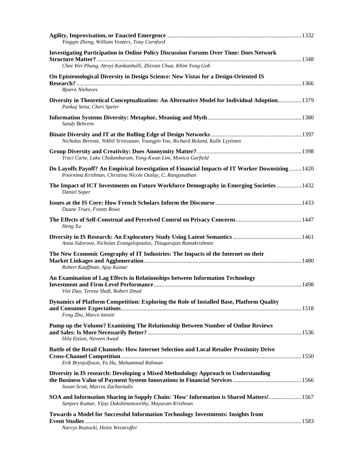| Yingqin Zheng, William Venters, Tony Cornford                                                                                                                  |  |
|----------------------------------------------------------------------------------------------------------------------------------------------------------------|--|
|                                                                                                                                                                |  |
| <b>Investigating Participation in Online Policy Discussion Forums Over Time: Does Network</b>                                                                  |  |
| Chee Wei Phang, Atreyi Kankanhalli, Zhixian Chua, Khim Yong Goh                                                                                                |  |
| On Epistemological Diversity in Design Science: New Vistas for a Design-Oriented IS                                                                            |  |
| <b>Bjoern Niehaves</b>                                                                                                                                         |  |
| Diversity in Theoretical Conceptualization: An Alternative Model for Individual Adoption 1379<br>Pankaj Setia, Cheri Speier                                    |  |
| Sandy Behrens                                                                                                                                                  |  |
| Nicholas Berente, Nikhil Srinivasan, Youngjin Yoo, Richard Boland, Kalle Lyytinen                                                                              |  |
| Traci Carte, Laku Chidambaram, Yong-Kwan Lim, Monica Garfield                                                                                                  |  |
| Do Layoffs Payoff? An Empirical Investigation of Financial Impacts of IT Worker Downsizing  1420<br>Poornima Krishnan, Christina Nicole Outlay, C. Ranganathan |  |
| The Impact of ICT Investments on Future Workforce Demography in Emerging Societies 1432<br><b>Daniel Soper</b>                                                 |  |
| Duane Truex, Frantz Rowe                                                                                                                                       |  |
| Heng Xu                                                                                                                                                        |  |
| Anna Sidorova, Nicholas Evangelopoulos, Thiagarajan Ramakrishnan                                                                                               |  |
| The New Economic Geography of IT Industries: The Impacts of the Internet on their<br>Robert Kauffman, Ajay Kumar                                               |  |
| An Examination of Lag Effects in Relationships between Information Technology<br>Viet Dao, Teresa Shaft, Robert Zmud                                           |  |
| Dynamics of Platform Competition: Exploring the Role of Installed Base, Platform Quality<br>Feng Zhu, Marco Iansiti                                            |  |
| Pump up the Volume? Examining The Relationship Between Number of Online Reviews<br>Hila Etzion, Neveen Awad                                                    |  |
| Battle of the Retail Channels: How Internet Selection and Local Retailer Proximity Drive<br>Erik Brynjolfsson, Yu Hu, Mohammad Rahman                          |  |
| Diversity in IS research: Developing a Mixed Methodology Approach to Understanding<br>Susan Scott, Marcos Zachariadis                                          |  |
| SOA and Information Sharing in Supply Chain: 'How' Information is Shared Matters! 1567<br>Sanjeev Kumar, Vijay Dakshinamoorthy, Mayuram Krishnan               |  |
| <b>Towards a Model for Successful Information Technology Investments: Insights from</b><br><b>Event Studies.</b><br>Narcyz Roztocki, Heinz Weistroffer         |  |